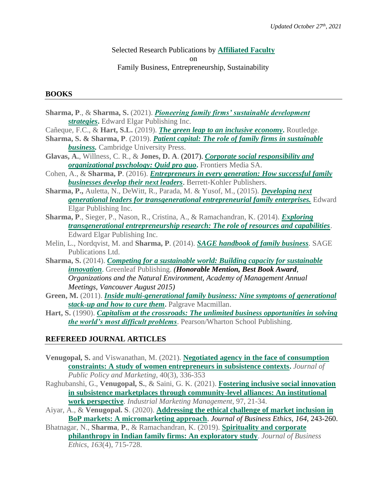## Selected Research Publications by **[Affiliated Faculty](https://www.uvm.edu/business/family-business-institute-affiliated-staff-and-faculty)** on Family Business, Entrepreneurship, Sustainability

### **BOOKS**

- **Sharma, P**., & **Sharma, S.** (2021). *[Pioneering family firms' sustainable development](https://www.e-elgar.com/shop/usd/pioneering-family-firms-sustainable-development-strategies-9781789904413.html)  [strategies](https://www.e-elgar.com/shop/usd/pioneering-family-firms-sustainable-development-strategies-9781789904413.html)***.** Edward Elgar Publishing Inc.
- Cañeque, F.C., & **Hart, S.L.** (2019). *[The green leap to an inclusive economy](https://www.routledge.com/The-Green-Leap-to-an-Inclusive-Economy/Caneque-Hart/p/book/9781138593107)***.** Routledge.
- **Sharma, S. & Sharma, P**. (2019). *[Patient capital: The role of family firms in sustainable](https://www.cambridge.org/core/books/patient-capital/57AF2335E5CE4C1A03B990D6814BCDF8)  [business.](https://www.cambridge.org/core/books/patient-capital/57AF2335E5CE4C1A03B990D6814BCDF8)* Cambridge University Press.
- **Glavas, A.**, Willness, C. R., & **Jones, D. A**. (2017). *[Corporate social responsibility and](https://www.frontiersin.org/research-topics/4025/corporate-social-responsibility-and-organizational-psychology-quid-pro-quo)  [organizational psychology: Quid pro quo](https://www.frontiersin.org/research-topics/4025/corporate-social-responsibility-and-organizational-psychology-quid-pro-quo)***.** Frontiers Media SA.
- Cohen, A., & **Sharma, P**. (2016). *[Entrepreneurs in every generation:](https://www.penguinrandomhouse.com/books/575050/entrepreneurs-in-every-generation-by-allan-r-cohen-and-pramodita-sharma/) How successful family [businesses develop their next leaders](https://www.penguinrandomhouse.com/books/575050/entrepreneurs-in-every-generation-by-allan-r-cohen-and-pramodita-sharma/)*. Berrett-Kohler Publishers.
- **Sharma, P.,** Auletta, N., DeWitt, R., Parada, M. & Yusof, M., (2015). *[Developing next](http://www.e-elgar.com/shop/developing-next-generation-leaders-for-transgenerational-entrepreneurial-family-enterprises)  [generational leaders for transgenerational entrepreneurial family enterprises.](http://www.e-elgar.com/shop/developing-next-generation-leaders-for-transgenerational-entrepreneurial-family-enterprises)* Edward Elgar Publishing Inc.
- **Sharma, P**., Sieger, P., Nason, R., Cristina, A., & Ramachandran, K. (2014). *[Exploring](https://www.e-elgar.co.uk/bookentry_main.lasso?id=14844)  [transgenerational entrepreneurship research: The role of resources and capabilities](https://www.e-elgar.co.uk/bookentry_main.lasso?id=14844)*. Edward Elgar Publishing Inc.
- Melin, L., Nordqvist, M. and **Sharma, P**. (2014). *[SAGE handbook of family business](http://www.amazon.com/The-SAGE-Handbook-Family-Business/dp/0857023632).* SAGE Publications Ltd.
- **Sharma, S.** (2014). *[Competing for a sustainable world: Building capacity for sustainable](https://www.routledge.com/Competing-for-a-Sustainable-World-Building-Capacity-for-Sustainable-Innovation/Sharma/p/book/9781783531226)  [innovation](https://www.routledge.com/Competing-for-a-Sustainable-World-Building-Capacity-for-Sustainable-Innovation/Sharma/p/book/9781783531226)*. Greenleaf Publishing. *(Honorable Mention, Best Book Award, Organizations and the Natural Environment, Academy of Management Annual Meetings, Vancouver August 2015)*
- **Green, M.** (2011). *[Inside multi-generational family business: Nine symptoms of generational](https://www.palgrave.com/gp/book/9780230111844)  [stack-up and how to cure them](https://www.palgrave.com/gp/book/9780230111844)***.** Palgrave Macmillan.
- **Hart, S.** (1990). *[Capitalism at the crossroads: The unlimited business opportunities in solving](https://www.amazon.com/Capitalism-Crossroads-Unlimited-Opportunities-Difficult/dp/0131439871)  [the world's most difficult problems](https://www.amazon.com/Capitalism-Crossroads-Unlimited-Opportunities-Difficult/dp/0131439871)*. Pearson/Wharton School Publishing.

# **REFEREED JOURNAL ARTICLES**

- **Venugopal, S.** and Viswanathan, M. (2021). **[Negotiated agency in the face of consumption](https://journals.sagepub.com/doi/abs/10.1177/0743915620953821)  [constraints: A study of women entrepreneurs in subsistence contexts.](https://journals.sagepub.com/doi/abs/10.1177/0743915620953821)** *Journal of Public Policy and Marketing*, 40(3), 336-353
- Raghubanshi, G., **Venugopal, S.**, & Saini, G. K. (2021). **[Fostering inclusive social innovation](https://journals.sagepub.com/doi/abs/10.1177/0743915620953821)  [in subsistence marketplaces through community-level alliances: An institutional](https://journals.sagepub.com/doi/abs/10.1177/0743915620953821)  [work perspective](https://journals.sagepub.com/doi/abs/10.1177/0743915620953821)**. *Industrial Marketing Management*, 97, 21-34.
- Aiyar, A., & **Venugopal. S**. (2020). **[Addressing the ethical challenge of market inclusion in](https://link.springer.com/article/10.1007/s10551-019-04275-9)  [BoP markets: A micromarketing approach](https://link.springer.com/article/10.1007/s10551-019-04275-9)**. *Journal of Business Ethics, 164*, 243-260.
- Bhatnagar, N., **Sharma**, **P.**, & Ramachandran, K. (2019). **[Spirituality and corporate](https://link.springer.com/article/10.1007/s10551-019-04394-3)  [philanthropy in Indian family firms: An exploratory study](https://link.springer.com/article/10.1007/s10551-019-04394-3)**. *Journal of Business Ethics*, *163*(4), 715-728.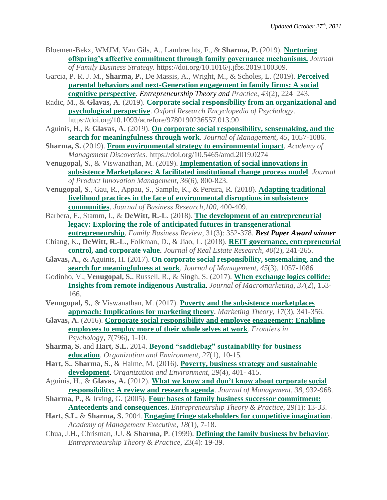- Bloemen-Bekx, WMJM, Van Gils, A., Lambrechts, F., & **Sharma, P.** (2019). **[Nurturing](https://www.sciencedirect.com/science/article/pii/S1877858517302693?via%3Dihub)  [offspring's affective commitment through family governance mechanisms.](https://www.sciencedirect.com/science/article/pii/S1877858517302693?via%3Dihub)** *Journal of Family Business Strategy.* https://doi.org/10.1016/j.jfbs.2019.100309.
- Garcia, P. R. J. M., **Sharma, P.**, De Massis, A., Wright, M., & Scholes, L. (2019). **[Perceived](https://journals.sagepub.com/doi/10.1177/1042258718796087)  [parental behaviors and next-Generation engagement in family firms: A social](https://journals.sagepub.com/doi/10.1177/1042258718796087)  [cognitive perspective](https://journals.sagepub.com/doi/10.1177/1042258718796087)**. *Entrepreneurship Theory and Practice*, *43*(2), 224–243.
- Radic, M., & **Glavas, A**. (2019). **[Corporate social responsibility from an organizational and](https://oxfordre.com/psychology/view/10.1093/acrefore/9780190236557.001.0001/acrefore-9780190236557-e-90)  [psychological perspective](https://oxfordre.com/psychology/view/10.1093/acrefore/9780190236557.001.0001/acrefore-9780190236557-e-90)**. *Oxford Research Encyclopedia of Psychology*. https://doi.org/10.1093/acrefore/9780190236557.013.90
- Aguinis, H., & **Glavas, A.** (2019). **[On corporate social responsibility, sensemaking, and the](https://journals.sagepub.com/doi/full/10.1177/0149206317691575)  [search for meaningfulness through work](https://journals.sagepub.com/doi/full/10.1177/0149206317691575)**. *Journal of Management, 45,* 1057-1086.
- **Sharma, S.** (2019). **[From environmental strategy to environmental impact](https://journals.aom.org/doi/10.5465/amd.2019.0274)**. *Academy of Management Discoveries.* https://doi.org/10.5465/amd.2019.0274
- **Venugopal, S.**, & Viswanathan, M. (2019). **[Implementation of social innovations in](https://onlinelibrary.wiley.com/doi/abs/10.1111/jpim.12508)  [subsistence Marketplaces: A facilitated institutional change process model](https://onlinelibrary.wiley.com/doi/abs/10.1111/jpim.12508)**. *Journal of Product Innovation Management*, *36*(6), 800-823.
- **Venugopal, S**., Gau, R., Appau, S., Sample, K., & Pereira, R. (2018). **[Adapting traditional](https://www.sciencedirect.com/science/article/abs/pii/S0148296318306337)  [livelihood practices in the face of environmental disruptions in subsistence](https://www.sciencedirect.com/science/article/abs/pii/S0148296318306337)  [communities](https://www.sciencedirect.com/science/article/abs/pii/S0148296318306337)**. *Journal of Business Research*,*100*, 400-409.
- Barbera, F., Stamm, I., & **DeWitt, R.-L.** (2018). **[The development of an entrepreneurial](https://journals.sagepub.com/doi/10.1177/0894486518780795)  [legacy: Exploring the role of anticipated futures in transgenerational](https://journals.sagepub.com/doi/10.1177/0894486518780795)**
- **[entrepreneurship](https://journals.sagepub.com/doi/10.1177/0894486518780795)**. *Family Business Review*, 31(3): 352-378. *Best Paper Award winner* Chiang, K., **DeWitt, R.-L.**, Folkman, D., & Jiao, L. (2018). **[REIT governance, entrepreneurial](https://www.researchgate.net/publication/328393251_REIT_governance_entrepreneurial_control_and_corporate_value)  [control, and corporate value](https://www.researchgate.net/publication/328393251_REIT_governance_entrepreneurial_control_and_corporate_value)**. *Journal of Real Estate Research, 40*(2), 241-265.
- **Glavas, A.**, & Aguinis, H. (2017). **[On corporate social responsibility, sensemaking, and the](https://journals.sagepub.com/doi/10.1177/0149206317691575)  [search for meaningfulness at work](https://journals.sagepub.com/doi/10.1177/0149206317691575)**. *Journal of Management, 45*(3), 1057-1086
- Godinho, V., **Venugopal, S.**, Russell, R., & Singh, S. (2017). **[When exchange logics collide:](https://journals.sagepub.com/doi/abs/10.1177/0276146717696893)  [Insights from remote indigenous Australia](https://journals.sagepub.com/doi/abs/10.1177/0276146717696893)**. *Journal of Macromarketing*, *37*(2), 153- 166.
- **Venugopal, S.**, & Viswanathan, M. (2017). **[Poverty and the subsistence marketplaces](https://journals.sagepub.com/doi/10.1177/1470593117704282)  [approach: Implications for marketing theory](https://journals.sagepub.com/doi/10.1177/1470593117704282)**. *Marketing Theory*, *17*(3), 341-356.
- **Glavas, A.** (2016). **[Corporate social responsibility and employee engagement: Enabling](https://www.frontiersin.org/articles/10.3389/fpsyg.2016.00796/full)  [employees to employ more of their whole selves at work](https://www.frontiersin.org/articles/10.3389/fpsyg.2016.00796/full)**. *Frontiers in Psycholog*y, *7*(796), 1-10.
- **Sharma, S.** and **Hart, S.L.** 2014. **[Beyond "saddlebag" sustainability for business](https://journals.sagepub.com/doi/full/10.1177/1086026614520713)  [education](https://journals.sagepub.com/doi/full/10.1177/1086026614520713)**. *Organization and Environment, 27*(1), 10-15*.*
- **Hart, S.**, **Sharma, S.**, & Halme, M. (2016). **[Poverty, business strategy and sustainable](https://journals.sagepub.com/doi/10.1177/1086026616677170)  [development](https://journals.sagepub.com/doi/10.1177/1086026616677170)**. *Organization and Environment, 29*(4), 401- 415.
- Aguinis, H., & **Glavas, A.** (2012). **[What we know and don't know about corporate social](https://journals.sagepub.com/doi/full/10.1177/0149206311436079)  [responsibility: A review and research agenda](https://journals.sagepub.com/doi/full/10.1177/0149206311436079)**. *Journal of Management*, *38*, 932-968.
- **Sharma, P.,** & Irving, G. (2005). **[Four bases of family business successor commitment:](https://journals.sagepub.com/doi/10.1111/j.1540-6520.2005.00067.x)  [Antecedents and consequences.](https://journals.sagepub.com/doi/10.1111/j.1540-6520.2005.00067.x)** *Entrepreneurship Theory & Practice,* 29(1): 13-33.
- **Hart, S.L.** & **Sharma, S.** 2004. **[Engaging fringe stakeholders for competitive imagination](https://www.jstor.org/stable/pdf/4166031.pdf)**. *Academy of Management Executive*, *18*(1), 7-18.
- Chua, J.H., Chrisman, J.J. & **Sharma, P**. (1999). **[Defining the family business by behavior](https://journals.sagepub.com/doi/10.1177/104225879902300402)**. *Entrepreneurship Theory & Practice,* 23(4): 19-39.